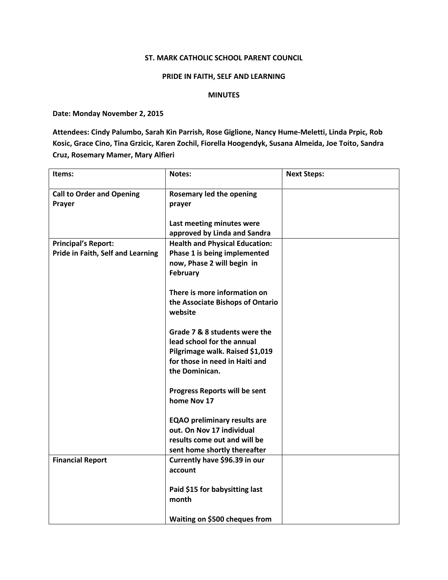## ST. MARK CATHOLIC SCHOOL PARENT COUNCIL

## PRIDE IN FAITH, SELF AND LEARNING

## MINUTES

Date: Monday November 2, 2015

Attendees: Cindy Palumbo, Sarah Kin Parrish, Rose Giglione, Nancy Hume-Meletti, Linda Prpic, Rob Kosic, Grace Cino, Tina Grzicic, Karen Zochil, Fiorella Hoogendyk, Susana Almeida, Joe Toito, Sandra Cruz, Rosemary Mamer, Mary Alfieri

| Items:                                                          | Notes:                                                                                                                                             | <b>Next Steps:</b> |
|-----------------------------------------------------------------|----------------------------------------------------------------------------------------------------------------------------------------------------|--------------------|
| <b>Call to Order and Opening</b><br>Prayer                      | Rosemary led the opening<br>prayer                                                                                                                 |                    |
|                                                                 | Last meeting minutes were<br>approved by Linda and Sandra                                                                                          |                    |
| <b>Principal's Report:</b><br>Pride in Faith, Self and Learning | <b>Health and Physical Education:</b><br>Phase 1 is being implemented<br>now, Phase 2 will begin in<br><b>February</b>                             |                    |
|                                                                 | There is more information on<br>the Associate Bishops of Ontario<br>website                                                                        |                    |
|                                                                 | Grade 7 & 8 students were the<br>lead school for the annual<br>Pilgrimage walk. Raised \$1,019<br>for those in need in Haiti and<br>the Dominican. |                    |
|                                                                 | Progress Reports will be sent<br>home Nov 17                                                                                                       |                    |
|                                                                 | <b>EQAO preliminary results are</b><br>out. On Nov 17 individual<br>results come out and will be<br>sent home shortly thereafter                   |                    |
| <b>Financial Report</b>                                         | Currently have \$96.39 in our<br>account                                                                                                           |                    |
|                                                                 | Paid \$15 for babysitting last<br>month                                                                                                            |                    |
|                                                                 | Waiting on \$500 cheques from                                                                                                                      |                    |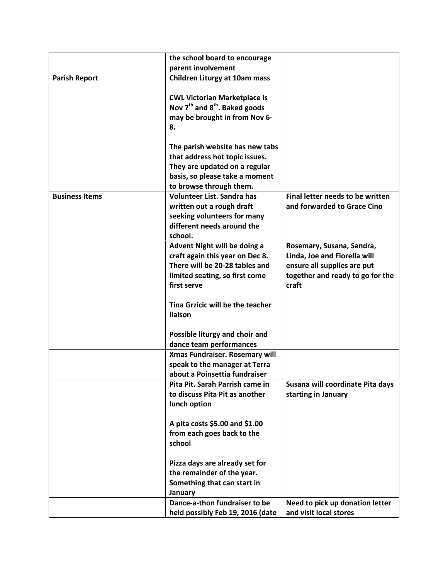|                       | the school board to encourage                         |                                  |
|-----------------------|-------------------------------------------------------|----------------------------------|
|                       | parent involvement                                    |                                  |
| <b>Parish Report</b>  | <b>Children Liturgy at 10am mass</b>                  |                                  |
|                       |                                                       |                                  |
|                       | <b>CWL Victorian Marketplace is</b>                   |                                  |
|                       | Nov 7 <sup>th</sup> and 8 <sup>th</sup> . Baked goods |                                  |
|                       | may be brought in from Nov 6-                         |                                  |
|                       | 8.                                                    |                                  |
|                       |                                                       |                                  |
|                       | The parish website has new tabs                       |                                  |
|                       | that address hot topic issues.                        |                                  |
|                       | They are updated on a regular                         |                                  |
|                       | basis, so please take a moment                        |                                  |
|                       | to browse through them.                               |                                  |
| <b>Business Items</b> | Volunteer List. Sandra has                            | Final letter needs to be written |
|                       | written out a rough draft                             | and forwarded to Grace Cino      |
|                       | seeking volunteers for many                           |                                  |
|                       | different needs around the                            |                                  |
|                       | school.                                               |                                  |
|                       | Advent Night will be doing a                          | Rosemary, Susana, Sandra,        |
|                       | craft again this year on Dec 8.                       | Linda, Joe and Fiorella will     |
|                       | There will be 20-28 tables and                        | ensure all supplies are put      |
|                       | limited seating, so first come                        | together and ready to go for the |
|                       | first serve                                           | craft                            |
|                       | Tina Grzicic will be the teacher                      |                                  |
|                       | liaison                                               |                                  |
|                       |                                                       |                                  |
|                       | Possible liturgy and choir and                        |                                  |
|                       | dance team performances                               |                                  |
|                       | Xmas Fundraiser. Rosemary will                        |                                  |
|                       | speak to the manager at Terra                         |                                  |
|                       | about a Poinsettia fundraiser                         |                                  |
|                       | Pita Pit. Sarah Parrish came in                       | Susana will coordinate Pita days |
|                       | to discuss Pita Pit as another                        | starting in January              |
|                       | lunch option                                          |                                  |
|                       |                                                       |                                  |
|                       | A pita costs \$5.00 and \$1.00                        |                                  |
|                       | from each goes back to the                            |                                  |
|                       | school                                                |                                  |
|                       |                                                       |                                  |
|                       | Pizza days are already set for                        |                                  |
|                       | the remainder of the year.                            |                                  |
|                       | Something that can start in                           |                                  |
|                       | January                                               |                                  |
|                       | Dance-a-thon fundraiser to be                         | Need to pick up donation letter  |
|                       | held possibly Feb 19, 2016 (date                      | and visit local stores           |